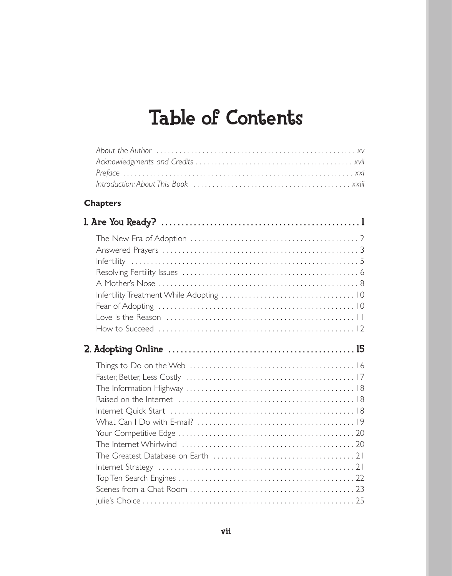## Table of Contents

## **Chapters**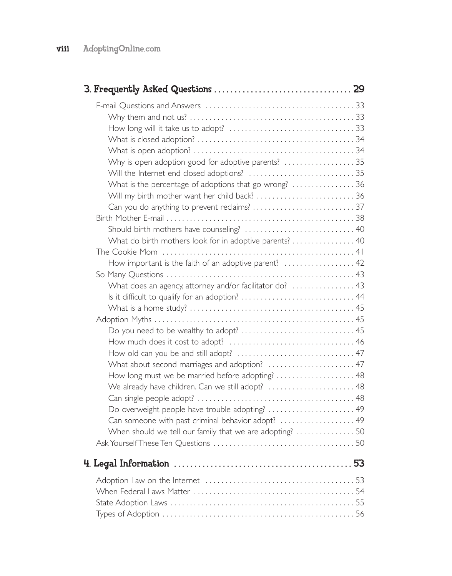| Why is open adoption good for adoptive parents?  35<br>What is the percentage of adoptions that go wrong?  36<br>Will my birth mother want her child back?  36                                                                                                                                                             |  |
|----------------------------------------------------------------------------------------------------------------------------------------------------------------------------------------------------------------------------------------------------------------------------------------------------------------------------|--|
| What do birth mothers look for in adoptive parents? 40                                                                                                                                                                                                                                                                     |  |
| How important is the faith of an adoptive parent?  42                                                                                                                                                                                                                                                                      |  |
| What does an agency, attorney and/or facilitator do?  43                                                                                                                                                                                                                                                                   |  |
| What about second marriages and adoption?  47<br>How long must we be married before adopting? 48<br>We already have children. Can we still adopt?  48<br>Do overweight people have trouble adopting?  49<br>Can someone with past criminal behavior adopt?  49<br>When should we tell our family that we are adopting?  50 |  |
|                                                                                                                                                                                                                                                                                                                            |  |
|                                                                                                                                                                                                                                                                                                                            |  |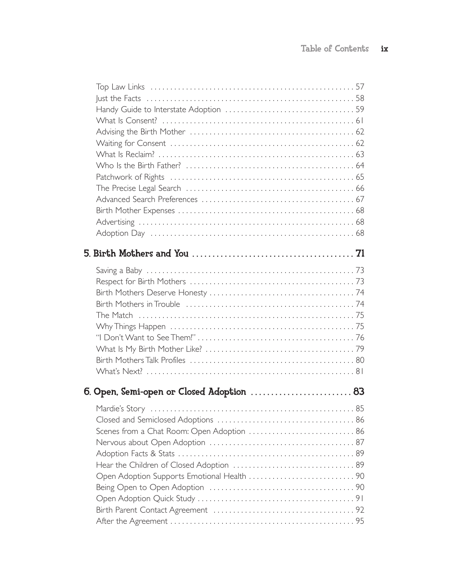| 6. Open, Semi-open or Closed Adoption  83   |  |
|---------------------------------------------|--|
|                                             |  |
|                                             |  |
| Scenes from a Chat Room: Open Adoption  86  |  |
|                                             |  |
|                                             |  |
|                                             |  |
| Open Adoption Supports Emotional Health  90 |  |
|                                             |  |
|                                             |  |
|                                             |  |
|                                             |  |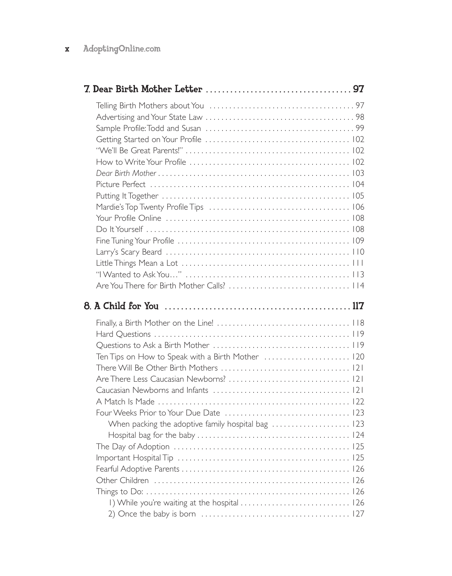## x AdoptingOnline.com

| Ten Tips on How to Speak with a Birth Mother  120<br>I) While you're waiting at the hospital  126 |  |
|---------------------------------------------------------------------------------------------------|--|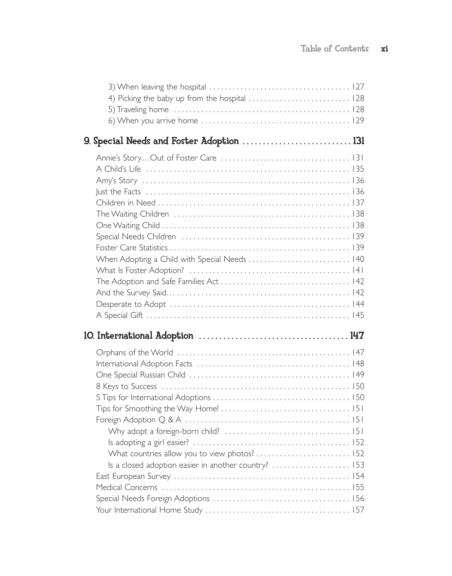| When Adopting a Child with Special Needs  140        |  |
|------------------------------------------------------|--|
|                                                      |  |
|                                                      |  |
|                                                      |  |
|                                                      |  |
|                                                      |  |
|                                                      |  |
|                                                      |  |
|                                                      |  |
|                                                      |  |
|                                                      |  |
|                                                      |  |
|                                                      |  |
|                                                      |  |
|                                                      |  |
|                                                      |  |
|                                                      |  |
|                                                      |  |
| Is a closed adoption easier in another country?  153 |  |
|                                                      |  |
|                                                      |  |
|                                                      |  |
|                                                      |  |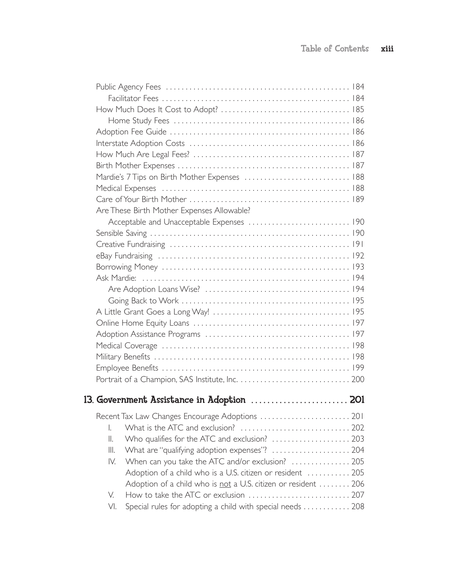|  |                                            | Mardie's 7 Tips on Birth Mother Expenses  188                 |  |
|--|--------------------------------------------|---------------------------------------------------------------|--|
|  |                                            |                                                               |  |
|  |                                            |                                                               |  |
|  |                                            | Are These Birth Mother Expenses Allowable?                    |  |
|  |                                            |                                                               |  |
|  |                                            |                                                               |  |
|  |                                            |                                                               |  |
|  |                                            |                                                               |  |
|  |                                            |                                                               |  |
|  |                                            |                                                               |  |
|  |                                            |                                                               |  |
|  |                                            |                                                               |  |
|  |                                            |                                                               |  |
|  |                                            |                                                               |  |
|  |                                            |                                                               |  |
|  |                                            |                                                               |  |
|  |                                            |                                                               |  |
|  |                                            |                                                               |  |
|  |                                            |                                                               |  |
|  |                                            |                                                               |  |
|  | 13. Government Assistance in Adoption  201 |                                                               |  |
|  |                                            |                                                               |  |
|  | I.                                         |                                                               |  |
|  | II.                                        | Who qualifies for the ATC and exclusion?  203                 |  |
|  | Ш.                                         | What are "qualifying adoption expenses"?  204                 |  |
|  | IV.                                        | When can you take the ATC and/or exclusion?  205              |  |
|  |                                            | Adoption of a child who is a U.S. citizen or resident  205    |  |
|  |                                            | Adoption of a child who is not a U.S. citizen or resident 206 |  |
|  | V.                                         |                                                               |  |
|  | VI.                                        | Special rules for adopting a child with special needs  208    |  |